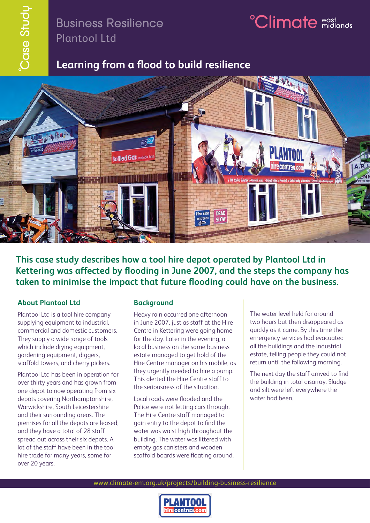## Business Resilience Plantool Ltd

## **Learning from a flood to build resilience**



**This case study describes how a tool hire depot operated by Plantool Ltd in Kettering was affected by flooding in June 2007, and the steps the company has** 

### **About Plantool Ltd**

Plantool Ltd is a tool hire company supplying equipment to industrial, commercial and domestic customers. They supply a wide range of tools which include drying equipment, gardening equipment, diggers, scaffold towers, and cherry pickers.

Plantool Ltd has been in operation for over thirty years and has grown from one depot to now operating from six depots covering Northamptonshire, Warwickshire, South Leicestershire and their surrounding areas. The premises for all the depots are leased, and they have a total of 28 staff spread out across their six depots. A lot of the staff have been in the tool hire trade for many years, some for over 20 years.

### **Background**

Heavy rain occurred one afternoon in June 2007, just as staff at the Hire Centre in Kettering were going home for the day. Later in the evening, a local business on the same business estate managed to get hold of the Hire Centre manager on his mobile, as they urgently needed to hire a pump. This alerted the Hire Centre staff to the seriousness of the situation.

Local roads were flooded and the Police were not letting cars through. The Hire Centre staff managed to gain entry to the depot to find the water was waist high throughout the building. The water was littered with empty gas canisters and wooden scaffold boards were floating around.

The water level held for around two hours but then disappeared as quickly as it came. By this time the emergency services had evacuated all the buildings and the industrial estate, telling people they could not return until the following morning.

The next day the staff arrived to find the building in total disarray. Sludge and silt were left everywhere the water had been.

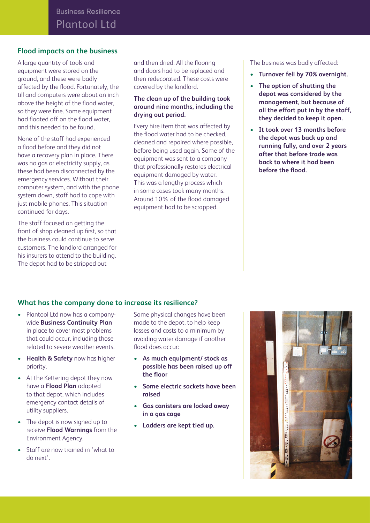### **Flood impacts on the business**

A large quantity of tools and equipment were stored on the ground, and these were badly affected by the flood. Fortunately, the till and computers were about an inch above the height of the flood water, so they were fine. Some equipment had floated off on the flood water, and this needed to be found.

None of the staff had experienced a flood before and they did not have a recovery plan in place. There was no gas or electricity supply, as these had been disconnected by the emergency services. Without their computer system, and with the phone system down, staff had to cope with just mobile phones. This situation continued for days.

The staff focused on getting the front of shop cleaned up first, so that the business could continue to serve customers. The landlord arranged for his insurers to attend to the building. The depot had to be stripped out

and then dried. All the flooring and doors had to be replaced and then redecorated. These costs were covered by the landlord.

### **The clean up of the building took around nine months, including the drying out period.**

Every hire item that was affected by the flood water had to be checked, cleaned and repaired where possible, before being used again. Some of the equipment was sent to a company that professionally restores electrical equipment damaged by water. This was a lengthy process which in some cases took many months. Around 10% of the flood damaged equipment had to be scrapped.

The business was badly affected:

- **Turnover fell by 70% overnight.**
- **The option of shutting the depot was considered by the management, but because of all the effort put in by the staff, they decided to keep it open.**
- **It took over 13 months before the depot was back up and running fully, and over 2 years after that before trade was back to where it had been before the flood.**

### **What has the company done to increase its resilience?**

- Plantool Ltd now has a companywide **Business Continuity Plan** in place to cover most problems that could occur, including those related to severe weather events.
- • **Health & Safety** now has higher priority.
- At the Kettering depot they now have a **Flood Plan** adapted to that depot, which includes emergency contact details of utility suppliers.
- The depot is now signed up to receive **Flood Warnings** from the Environment Agency.
- Staff are now trained in 'what to do next'.

Some physical changes have been made to the depot, to help keep losses and costs to a minimum by avoiding water damage if another flood does occur:

- **• As much equipment/ stock as possible has been raised up off the floor**
- **• Some electric sockets have been raised**
- **• Gas canisters are locked away in a gas cage**
- **• Ladders are kept tied up.**

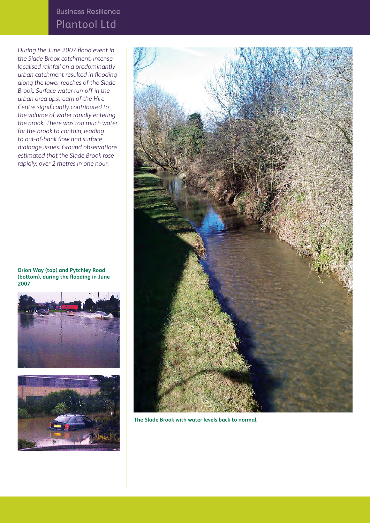Plantool Ltd Business Resilience

During the June 2007 flood event in the Slade Brook catchment, intense localised rainfall on a predominantly urban catchment resulted in flooding along the lower reaches of the Slade Brook. Surface water run-off in the urban area upstream of the Hire Centre significantly contributed to the volume of water rapidly entering the brook. There was too much water for the brook to contain, leading to out-of-bank flow and surface drainage issues. Ground observations estimated that the Slade Brook rose rapidly: over 2 metres in one hour.

**Orion Way (top) and Pytchley Road (bottom), during the flooding in June 2007**







**The Slade Brook with water levels back to normal.**